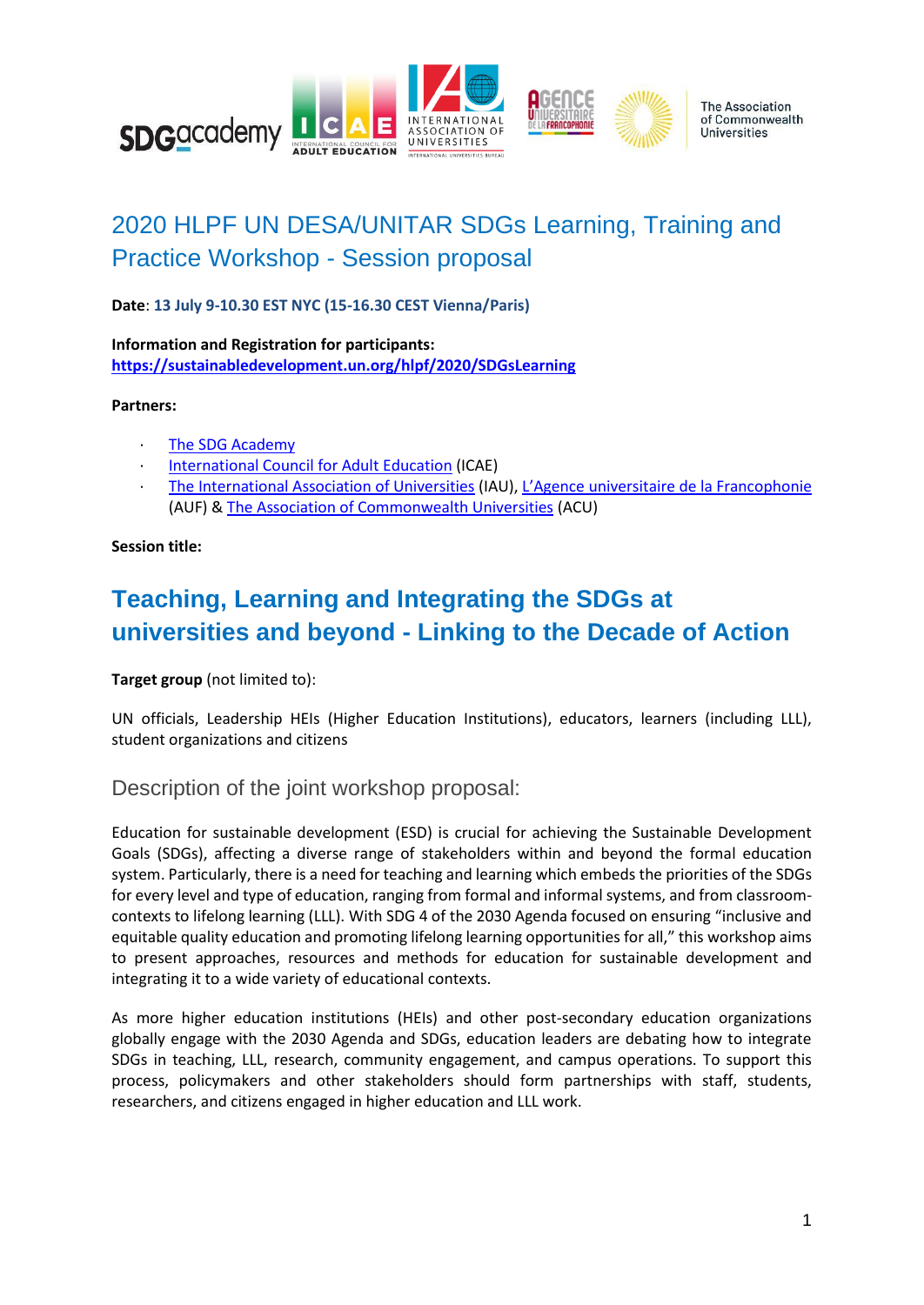

# 2020 HLPF UN DESA/UNITAR SDGs Learning, Training and Practice Workshop - Session proposal

**Date**: **13 July 9-10.30 EST NYC (15-16.30 CEST Vienna/Paris)**

**Information and Registration for participants: <https://sustainabledevelopment.un.org/hlpf/2020/SDGsLearning>**

### **Partners:**

- [The SDG Academy](https://sdgacademy.org/)
- [International Council for Adult Education](http://icae.global/) (ICAE)
- · [The International Association of Universities](https://iau-aiu.net/) (IAU), [L'Agence universitaire de la Francophonie](https://www.auf.org/) (AUF) & [The Association of Commonwealth Universities](https://www.acu.ac.uk/) (ACU)

#### **Session title:**

## **Teaching, Learning and Integrating the SDGs at universities and beyond - Linking to the Decade of Action**

**Target group** (not limited to):

UN officials, Leadership HEIs (Higher Education Institutions), educators, learners (including LLL), student organizations and citizens

## Description of the joint workshop proposal:

Education for sustainable development (ESD) is crucial for achieving the Sustainable Development Goals (SDGs), affecting a diverse range of stakeholders within and beyond the formal education system. Particularly, there is a need for teaching and learning which embeds the priorities of the SDGs for every level and type of education, ranging from formal and informal systems, and from classroomcontexts to lifelong learning (LLL). With SDG 4 of the 2030 Agenda focused on ensuring "inclusive and equitable quality education and promoting lifelong learning opportunities for all," this workshop aims to present approaches, resources and methods for education for sustainable development and integrating it to a wide variety of educational contexts.

As more higher education institutions (HEIs) and other post-secondary education organizations globally engage with the 2030 Agenda and SDGs, education leaders are debating how to integrate SDGs in teaching, LLL, research, community engagement, and campus operations. To support this process, policymakers and other stakeholders should form partnerships with staff, students, researchers, and citizens engaged in higher education and LLL work.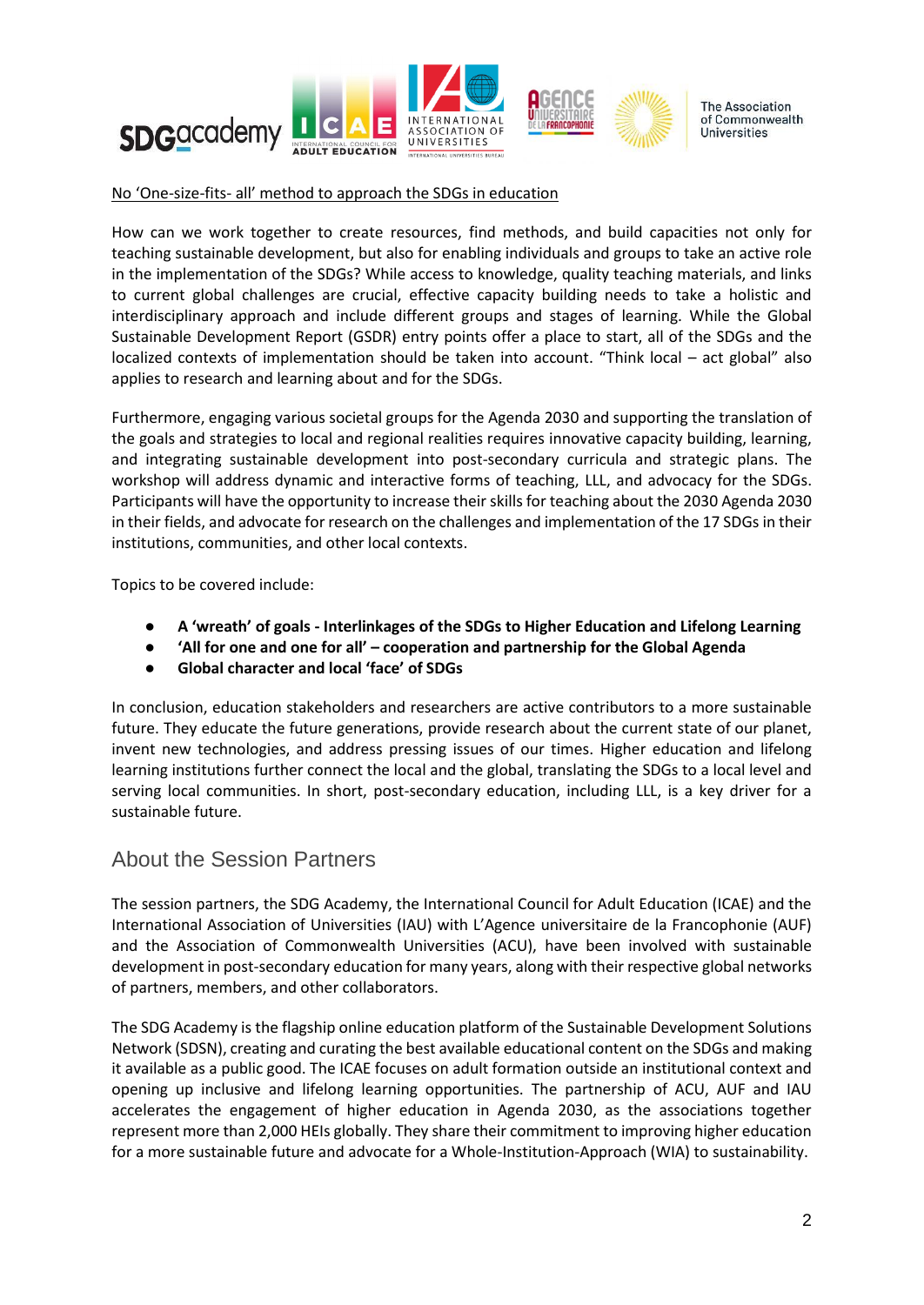

#### No 'One-size-fits- all' method to approach the SDGs in education

How can we work together to create resources, find methods, and build capacities not only for teaching sustainable development, but also for enabling individuals and groups to take an active role in the implementation of the SDGs? While access to knowledge, quality teaching materials, and links to current global challenges are crucial, effective capacity building needs to take a holistic and interdisciplinary approach and include different groups and stages of learning. While the Global Sustainable Development Report (GSDR) entry points offer a place to start, all of the SDGs and the localized contexts of implementation should be taken into account. "Think local – act global" also applies to research and learning about and for the SDGs.

Furthermore, engaging various societal groups for the Agenda 2030 and supporting the translation of the goals and strategies to local and regional realities requires innovative capacity building, learning, and integrating sustainable development into post-secondary curricula and strategic plans. The workshop will address dynamic and interactive forms of teaching, LLL, and advocacy for the SDGs. Participants will have the opportunity to increase their skills for teaching about the 2030 Agenda 2030 in their fields, and advocate for research on the challenges and implementation of the 17 SDGs in their institutions, communities, and other local contexts.

Topics to be covered include:

- **A 'wreath' of goals - Interlinkages of the SDGs to Higher Education and Lifelong Learning**
- **'All for one and one for all' – cooperation and partnership for the Global Agenda**
- **Global character and local 'face' of SDGs**

In conclusion, education stakeholders and researchers are active contributors to a more sustainable future. They educate the future generations, provide research about the current state of our planet, invent new technologies, and address pressing issues of our times. Higher education and lifelong learning institutions further connect the local and the global, translating the SDGs to a local level and serving local communities. In short, post-secondary education, including LLL, is a key driver for a sustainable future.

## About the Session Partners

The session partners, the SDG Academy, the International Council for Adult Education (ICAE) and the International Association of Universities (IAU) with L'Agence universitaire de la Francophonie (AUF) and the Association of Commonwealth Universities (ACU), have been involved with sustainable development in post-secondary education for many years, along with their respective global networks of partners, members, and other collaborators.

The SDG Academy is the flagship online education platform of the Sustainable Development Solutions Network (SDSN), creating and curating the best available educational content on the SDGs and making it available as a public good. The ICAE focuses on adult formation outside an institutional context and opening up inclusive and lifelong learning opportunities. The partnership of ACU, AUF and IAU accelerates the engagement of higher education in Agenda 2030, as the associations together represent more than 2,000 HEIs globally. They share their commitment to improving higher education for a more sustainable future and advocate for a Whole-Institution-Approach (WIA) to sustainability.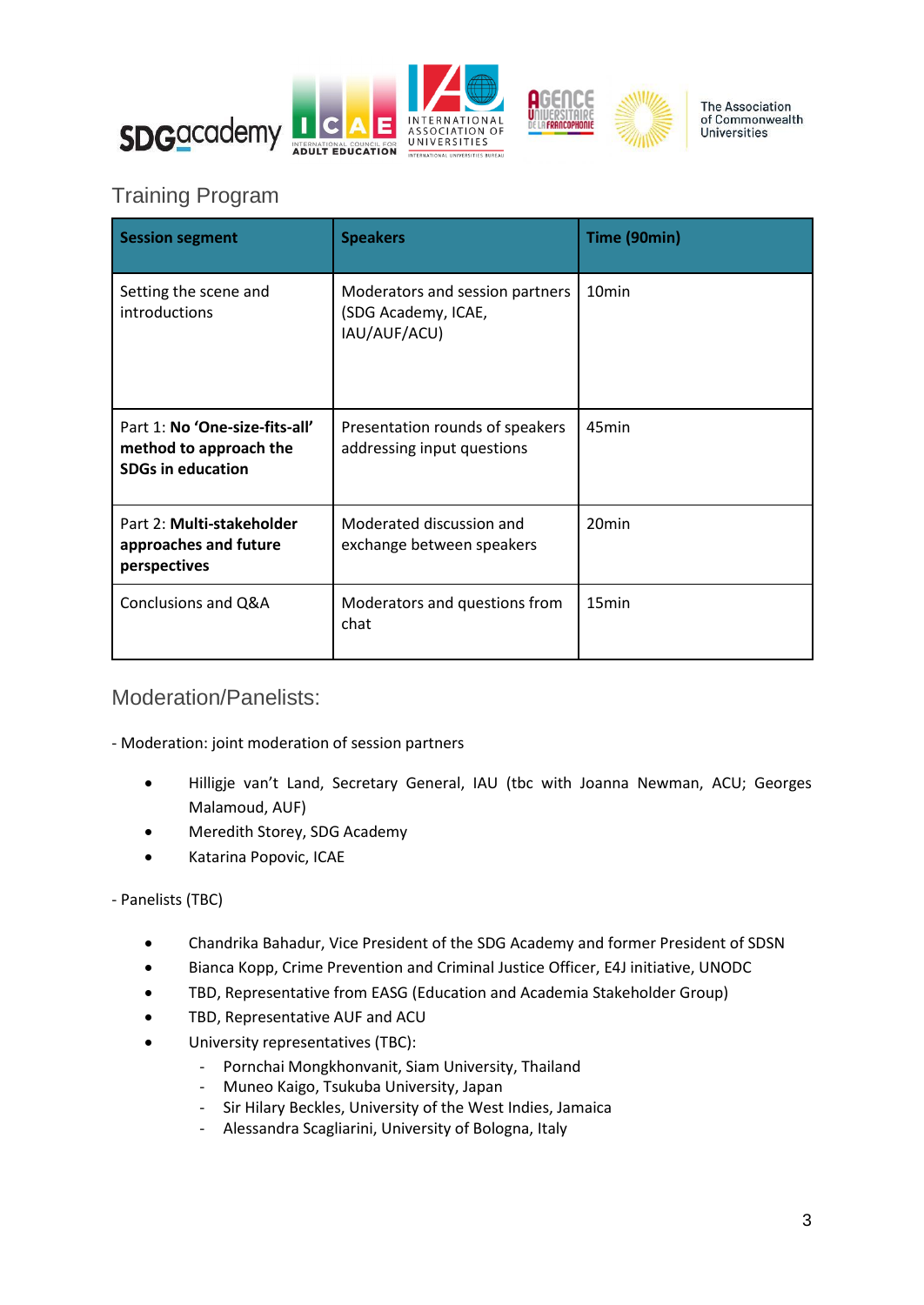

## Training Program

| <b>Session segment</b>                                                               | <b>Speakers</b>                                                        | Time (90min)      |
|--------------------------------------------------------------------------------------|------------------------------------------------------------------------|-------------------|
| Setting the scene and<br>introductions                                               | Moderators and session partners<br>(SDG Academy, ICAE,<br>IAU/AUF/ACU) | 10 <sub>min</sub> |
| Part 1: No 'One-size-fits-all'<br>method to approach the<br><b>SDGs in education</b> | Presentation rounds of speakers<br>addressing input questions          | 45min             |
| Part 2: Multi-stakeholder<br>approaches and future<br>perspectives                   | Moderated discussion and<br>exchange between speakers                  | 20 <sub>min</sub> |
| Conclusions and Q&A                                                                  | Moderators and questions from<br>chat                                  | 15 <sub>min</sub> |

Moderation/Panelists:

- Moderation: joint moderation of session partners

- Hilligje van't Land, Secretary General, IAU (tbc with Joanna Newman, ACU; Georges Malamoud, AUF)
- Meredith Storey, SDG Academy
- Katarina Popovic, ICAE

- Panelists (TBC)

- Chandrika Bahadur, Vice President of the SDG Academy and former President of SDSN
- Bianca Kopp, Crime Prevention and Criminal Justice Officer, E4J initiative, UNODC
- TBD, Representative from EASG (Education and Academia Stakeholder Group)
- TBD, Representative AUF and ACU
- University representatives (TBC):
	- Pornchai Mongkhonvanit, Siam University, Thailand
	- Muneo Kaigo, Tsukuba University, Japan
	- Sir Hilary Beckles, University of the West Indies, Jamaica
	- Alessandra Scagliarini, University of Bologna, Italy